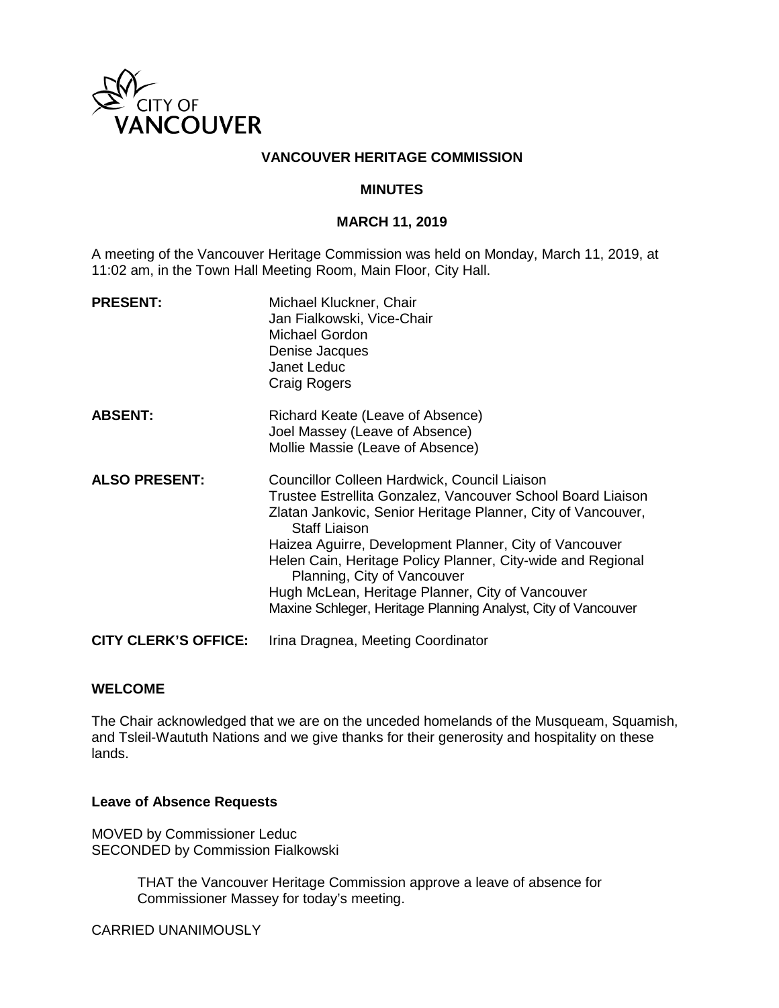

#### **VANCOUVER HERITAGE COMMISSION**

#### **MINUTES**

#### **MARCH 11, 2019**

A meeting of the Vancouver Heritage Commission was held on Monday, March 11, 2019, at 11:02 am, in the Town Hall Meeting Room, Main Floor, City Hall.

| <b>PRESENT:</b>             | Michael Kluckner, Chair<br>Jan Fialkowski, Vice-Chair<br>Michael Gordon<br>Denise Jacques<br>Janet Leduc<br><b>Craig Rogers</b>                                                                                                                                                                                                                                                                                                                                                  |
|-----------------------------|----------------------------------------------------------------------------------------------------------------------------------------------------------------------------------------------------------------------------------------------------------------------------------------------------------------------------------------------------------------------------------------------------------------------------------------------------------------------------------|
| <b>ABSENT:</b>              | Richard Keate (Leave of Absence)<br>Joel Massey (Leave of Absence)<br>Mollie Massie (Leave of Absence)                                                                                                                                                                                                                                                                                                                                                                           |
| <b>ALSO PRESENT:</b>        | Councillor Colleen Hardwick, Council Liaison<br>Trustee Estrellita Gonzalez, Vancouver School Board Liaison<br>Zlatan Jankovic, Senior Heritage Planner, City of Vancouver,<br><b>Staff Liaison</b><br>Haizea Aguirre, Development Planner, City of Vancouver<br>Helen Cain, Heritage Policy Planner, City-wide and Regional<br>Planning, City of Vancouver<br>Hugh McLean, Heritage Planner, City of Vancouver<br>Maxine Schleger, Heritage Planning Analyst, City of Vancouver |
| <b>CITY CLERK'S OFFICE:</b> | Irina Dragnea, Meeting Coordinator                                                                                                                                                                                                                                                                                                                                                                                                                                               |

#### **WELCOME**

The Chair acknowledged that we are on the unceded homelands of the Musqueam, Squamish, and Tsleil-Waututh Nations and we give thanks for their generosity and hospitality on these lands.

#### **Leave of Absence Requests**

MOVED by Commissioner Leduc SECONDED by Commission Fialkowski

> THAT the Vancouver Heritage Commission approve a leave of absence for Commissioner Massey for today's meeting.

CARRIED UNANIMOUSLY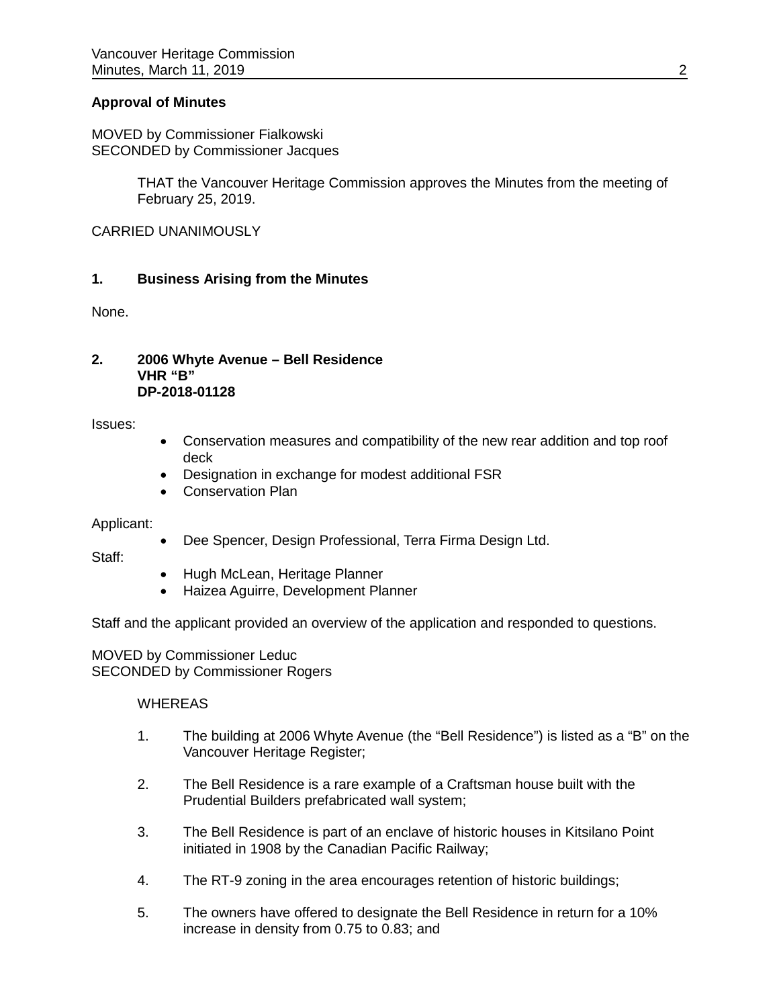#### **Approval of Minutes**

MOVED by Commissioner Fialkowski SECONDED by Commissioner Jacques

> THAT the Vancouver Heritage Commission approves the Minutes from the meeting of February 25, 2019.

CARRIED UNANIMOUSLY

#### **1. Business Arising from the Minutes**

None.

#### **2. 2006 Whyte Avenue – Bell Residence VHR "B" DP-2018-01128**

Issues:

- Conservation measures and compatibility of the new rear addition and top roof deck
- Designation in exchange for modest additional FSR
- Conservation Plan

Applicant:

• Dee Spencer, Design Professional, Terra Firma Design Ltd.

Staff:

- Hugh McLean, Heritage Planner
- Haizea Aguirre, Development Planner

Staff and the applicant provided an overview of the application and responded to questions.

MOVED by Commissioner Leduc SECONDED by Commissioner Rogers

#### **WHEREAS**

- 1. The building at 2006 Whyte Avenue (the "Bell Residence") is listed as a "B" on the Vancouver Heritage Register;
- 2. The Bell Residence is a rare example of a Craftsman house built with the Prudential Builders prefabricated wall system;
- 3. The Bell Residence is part of an enclave of historic houses in Kitsilano Point initiated in 1908 by the Canadian Pacific Railway;
- 4. The RT-9 zoning in the area encourages retention of historic buildings;
- 5. The owners have offered to designate the Bell Residence in return for a 10% increase in density from 0.75 to 0.83; and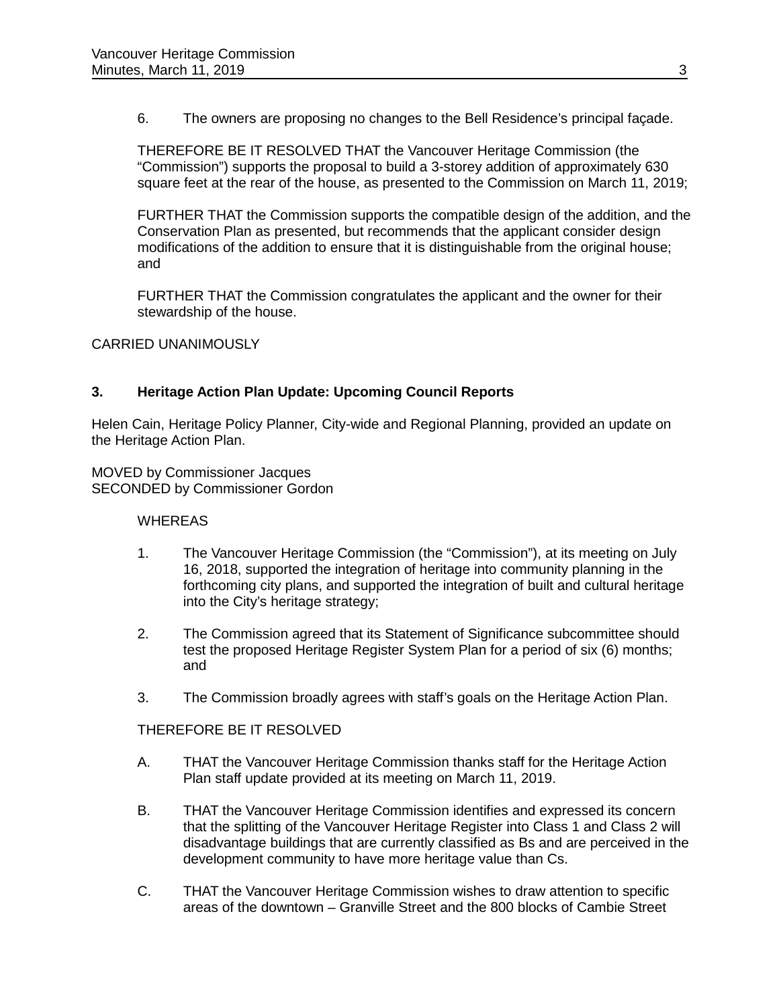6. The owners are proposing no changes to the Bell Residence's principal façade.

THEREFORE BE IT RESOLVED THAT the Vancouver Heritage Commission (the "Commission") supports the proposal to build a 3-storey addition of approximately 630 square feet at the rear of the house, as presented to the Commission on March 11, 2019;

FURTHER THAT the Commission supports the compatible design of the addition, and the Conservation Plan as presented, but recommends that the applicant consider design modifications of the addition to ensure that it is distinguishable from the original house; and

FURTHER THAT the Commission congratulates the applicant and the owner for their stewardship of the house.

CARRIED UNANIMOUSLY

### **3. Heritage Action Plan Update: Upcoming Council Reports**

Helen Cain, Heritage Policy Planner, City-wide and Regional Planning, provided an update on the Heritage Action Plan.

MOVED by Commissioner Jacques SECONDED by Commissioner Gordon

#### **WHEREAS**

- 1. The Vancouver Heritage Commission (the "Commission"), at its meeting on July 16, 2018, supported the integration of heritage into community planning in the forthcoming city plans, and supported the integration of built and cultural heritage into the City's heritage strategy;
- 2. The Commission agreed that its Statement of Significance subcommittee should test the proposed Heritage Register System Plan for a period of six (6) months; and
- 3. The Commission broadly agrees with staff's goals on the Heritage Action Plan.

#### THEREFORE BE IT RESOLVED

- A. THAT the Vancouver Heritage Commission thanks staff for the Heritage Action Plan staff update provided at its meeting on March 11, 2019.
- B. THAT the Vancouver Heritage Commission identifies and expressed its concern that the splitting of the Vancouver Heritage Register into Class 1 and Class 2 will disadvantage buildings that are currently classified as Bs and are perceived in the development community to have more heritage value than Cs.
- C. THAT the Vancouver Heritage Commission wishes to draw attention to specific areas of the downtown – Granville Street and the 800 blocks of Cambie Street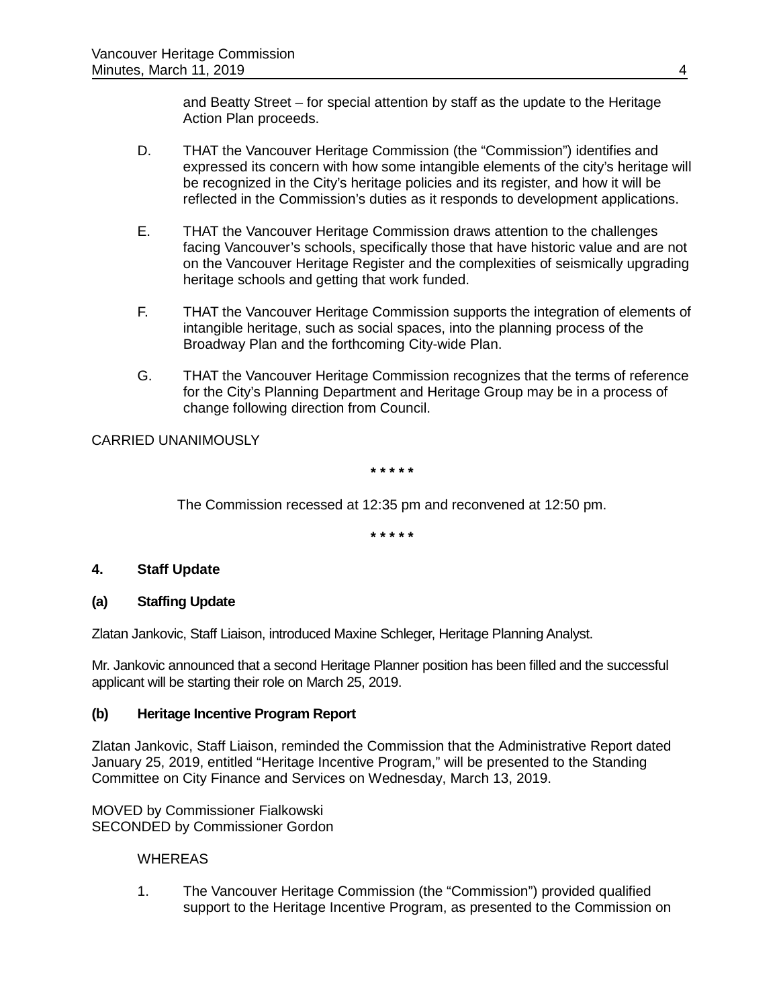and Beatty Street – for special attention by staff as the update to the Heritage Action Plan proceeds.

- D. THAT the Vancouver Heritage Commission (the "Commission") identifies and expressed its concern with how some intangible elements of the city's heritage will be recognized in the City's heritage policies and its register, and how it will be reflected in the Commission's duties as it responds to development applications.
- E. THAT the Vancouver Heritage Commission draws attention to the challenges facing Vancouver's schools, specifically those that have historic value and are not on the Vancouver Heritage Register and the complexities of seismically upgrading heritage schools and getting that work funded.
- F. THAT the Vancouver Heritage Commission supports the integration of elements of intangible heritage, such as social spaces, into the planning process of the Broadway Plan and the forthcoming City-wide Plan.
- G. THAT the Vancouver Heritage Commission recognizes that the terms of reference for the City's Planning Department and Heritage Group may be in a process of change following direction from Council.

## CARRIED UNANIMOUSLY

**\* \* \* \* \***

The Commission recessed at 12:35 pm and reconvened at 12:50 pm.

**\* \* \* \* \***

### **4. Staff Update**

### **(a) Staffing Update**

Zlatan Jankovic, Staff Liaison, introduced Maxine Schleger, Heritage Planning Analyst.

Mr. Jankovic announced that a second Heritage Planner position has been filled and the successful applicant will be starting their role on March 25, 2019.

### **(b) Heritage Incentive Program Report**

Zlatan Jankovic, Staff Liaison, reminded the Commission that the Administrative Report dated January 25, 2019, entitled "Heritage Incentive Program," will be presented to the Standing Committee on City Finance and Services on Wednesday, March 13, 2019.

MOVED by Commissioner Fialkowski SECONDED by Commissioner Gordon

### **WHEREAS**

1. The Vancouver Heritage Commission (the "Commission") provided qualified support to the Heritage Incentive Program, as presented to the Commission on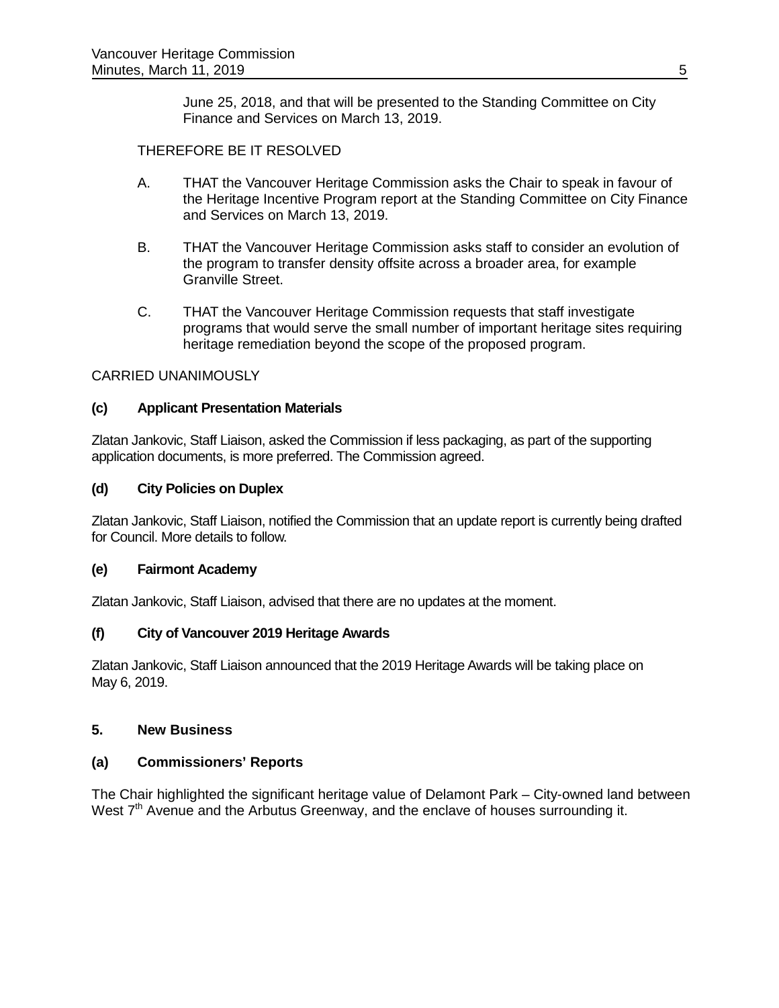June 25, 2018, and that will be presented to the Standing Committee on City Finance and Services on March 13, 2019.

## THEREFORE BE IT RESOLVED

- A. THAT the Vancouver Heritage Commission asks the Chair to speak in favour of the Heritage Incentive Program report at the Standing Committee on City Finance and Services on March 13, 2019.
- B. THAT the Vancouver Heritage Commission asks staff to consider an evolution of the program to transfer density offsite across a broader area, for example Granville Street.
- C. THAT the Vancouver Heritage Commission requests that staff investigate programs that would serve the small number of important heritage sites requiring heritage remediation beyond the scope of the proposed program.

### CARRIED UNANIMOUSLY

### **(c) Applicant Presentation Materials**

Zlatan Jankovic, Staff Liaison, asked the Commission if less packaging, as part of the supporting application documents, is more preferred. The Commission agreed.

## **(d) City Policies on Duplex**

Zlatan Jankovic, Staff Liaison, notified the Commission that an update report is currently being drafted for Council. More details to follow.

### **(e) Fairmont Academy**

Zlatan Jankovic, Staff Liaison, advised that there are no updates at the moment.

### **(f) City of Vancouver 2019 Heritage Awards**

Zlatan Jankovic, Staff Liaison announced that the 2019 Heritage Awards will be taking place on May 6, 2019.

### **5. New Business**

### **(a) Commissioners' Reports**

The Chair highlighted the significant heritage value of Delamont Park – City-owned land between West 7<sup>th</sup> Avenue and the Arbutus Greenway, and the enclave of houses surrounding it.